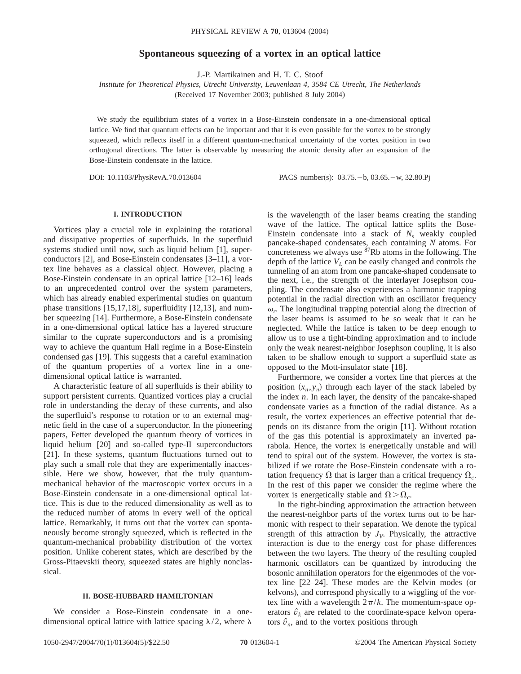# **Spontaneous squeezing of a vortex in an optical lattice**

J.-P. Martikainen and H. T. C. Stoof

*Institute for Theoretical Physics, Utrecht University, Leuvenlaan 4, 3584 CE Utrecht, The Netherlands*

(Received 17 November 2003; published 8 July 2004)

We study the equilibrium states of a vortex in a Bose-Einstein condensate in a one-dimensional optical lattice. We find that quantum effects can be important and that it is even possible for the vortex to be strongly squeezed, which reflects itself in a different quantum-mechanical uncertainty of the vortex position in two orthogonal directions. The latter is observable by measuring the atomic density after an expansion of the Bose-Einstein condensate in the lattice.

DOI: 10.1103/PhysRevA.70.013604 PACS number(s): 03.75. -b, 03.65. -w, 32.80.Pj

## **I. INTRODUCTION**

Vortices play a crucial role in explaining the rotational and dissipative properties of superfluids. In the superfluid systems studied until now, such as liquid helium [1], superconductors [2], and Bose-Einstein condensates [3–11], a vortex line behaves as a classical object. However, placing a Bose-Einstein condensate in an optical lattice [12–16] leads to an unprecedented control over the system parameters, which has already enabled experimental studies on quantum phase transitions [15,17,18], superfluidity [12,13], and number squeezing [14]. Furthermore, a Bose-Einstein condensate in a one-dimensional optical lattice has a layered structure similar to the cuprate superconductors and is a promising way to achieve the quantum Hall regime in a Bose-Einstein condensed gas [19]. This suggests that a careful examination of the quantum properties of a vortex line in a onedimensional optical lattice is warranted.

A characteristic feature of all superfluids is their ability to support persistent currents. Quantized vortices play a crucial role in understanding the decay of these currents, and also the superfluid's response to rotation or to an external magnetic field in the case of a superconductor. In the pioneering papers, Fetter developed the quantum theory of vortices in liquid helium [20] and so-called type-II superconductors [21]. In these systems, quantum fluctuations turned out to play such a small role that they are experimentally inaccessible. Here we show, however, that the truly quantummechanical behavior of the macroscopic vortex occurs in a Bose-Einstein condensate in a one-dimensional optical lattice. This is due to the reduced dimensionality as well as to the reduced number of atoms in every well of the optical lattice. Remarkably, it turns out that the vortex can spontaneously become strongly squeezed, which is reflected in the quantum-mechanical probability distribution of the vortex position. Unlike coherent states, which are described by the Gross-Pitaevskii theory, squeezed states are highly nonclassical.

## **II. BOSE-HUBBARD HAMILTONIAN**

We consider a Bose-Einstein condensate in a onedimensional optical lattice with lattice spacing  $\lambda/2$ , where  $\lambda$  is the wavelength of the laser beams creating the standing wave of the lattice. The optical lattice splits the Bose-Einstein condensate into a stack of  $N<sub>s</sub>$  weakly coupled pancake-shaped condensates, each containing *N* atoms. For concreteness we always use  ${}^{87}Rb$  atoms in the following. The depth of the lattice  $V_L$  can be easily changed and controls the tunneling of an atom from one pancake-shaped condensate to the next, i.e., the strength of the interlayer Josephson coupling. The condensate also experiences a harmonic trapping potential in the radial direction with an oscillator frequency  $\omega_r$ . The longitudinal trapping potential along the direction of the laser beams is assumed to be so weak that it can be neglected. While the lattice is taken to be deep enough to allow us to use a tight-binding approximation and to include only the weak nearest-neighbor Josephson coupling, it is also taken to be shallow enough to support a superfluid state as opposed to the Mott-insulator state [18].

Furthermore, we consider a vortex line that pierces at the position  $(x_n, y_n)$  through each layer of the stack labeled by the index *n*. In each layer, the density of the pancake-shaped condensate varies as a function of the radial distance. As a result, the vortex experiences an effective potential that depends on its distance from the origin [11]. Without rotation of the gas this potential is approximately an inverted parabola. Hence, the vortex is energetically unstable and will tend to spiral out of the system. However, the vortex is stabilized if we rotate the Bose-Einstein condensate with a rotation frequency  $\Omega$  that is larger than a critical frequency  $\Omega_c$ . In the rest of this paper we consider the regime where the vortex is energetically stable and  $\Omega > \Omega_c$ .

In the tight-binding approximation the attraction between the nearest-neighbor parts of the vortex turns out to be harmonic with respect to their separation. We denote the typical strength of this attraction by  $J_V$ . Physically, the attractive interaction is due to the energy cost for phase differences between the two layers. The theory of the resulting coupled harmonic oscillators can be quantized by introducing the bosonic annihilation operators for the eigenmodes of the vortex line [22–24]. These modes are the Kelvin modes (or kelvons), and correspond physically to a wiggling of the vortex line with a wavelength  $2\pi/k$ . The momentum-space operators  $\hat{v}_k$  are related to the coordinate-space kelvon operators  $\hat{v}_n$ , and to the vortex positions through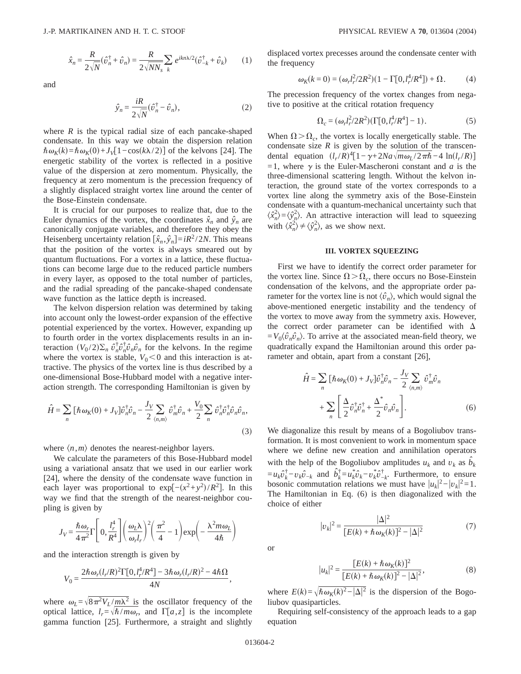$$
\hat{x}_n = \frac{R}{2\sqrt{N}} (\hat{v}_n^{\dagger} + \hat{v}_n) = \frac{R}{2\sqrt{NN_s}} \sum_k e^{ikn\lambda/2} (\hat{v}_{-k}^{\dagger} + \hat{v}_k)
$$
(1)

and

$$
\hat{y}_n = \frac{iR}{2\sqrt{N}} (\hat{v}_n^\dagger - \hat{v}_n),\tag{2}
$$

where  $R$  is the typical radial size of each pancake-shaped condensate. In this way we obtain the dispersion relation  $\hbar \omega_K(k) = \hbar \omega_K(0) + J_V[1-\cos(k\lambda/2)]$  of the kelvons [24]. The energetic stability of the vortex is reflected in a positive value of the dispersion at zero momentum. Physically, the frequency at zero momentum is the precession frequency of a slightly displaced straight vortex line around the center of the Bose-Einstein condensate.

It is crucial for our purposes to realize that, due to the Euler dynamics of the vortex, the coordinates  $\hat{x}_n$  and  $\hat{y}_n$  are canonically conjugate variables, and therefore they obey the Heisenberg uncertainty relation  $[\hat{x}_n, \hat{y}_n] = iR^2 / 2N$ . This means that the position of the vortex is always smeared out by quantum fluctuations. For a vortex in a lattice, these fluctuations can become large due to the reduced particle numbers in every layer, as opposed to the total number of particles, and the radial spreading of the pancake-shaped condensate wave function as the lattice depth is increased.

The kelvon dispersion relation was determined by taking into account only the lowest-order expansion of the effective potential experienced by the vortex. However, expanding up to fourth order in the vortex displacements results in an interaction  $(V_0/2)\Sigma_n \hat{v}_n^{\dagger} \hat{v}_n^{\dagger} \hat{v}_n \hat{v}_n$  for the kelvons. In the regime where the vortex is stable,  $V_0 < 0$  and this interaction is attractive. The physics of the vortex line is thus described by a one-dimensional Bose-Hubbard model with a negative interaction strength. The corresponding Hamiltonian is given by

$$
\hat{H} = \sum_{n} \left[ \hbar \omega_{K}(0) + J_{V} \right] \hat{\sigma}_{n}^{\dagger} \hat{v}_{n} - \frac{J_{V}}{2} \sum_{\langle n,m \rangle} \hat{v}_{m}^{\dagger} \hat{v}_{n} + \frac{V_{0}}{2} \sum_{n} \hat{v}_{n}^{\dagger} \hat{v}_{n}^{\dagger} \hat{v}_{n} \hat{v}_{n}, \tag{3}
$$

where  $\langle n,m \rangle$  denotes the nearest-neighbor layers.

We calculate the parameters of this Bose-Hubbard model using a variational ansatz that we used in our earlier work [24], where the density of the condensate wave function in each layer was proportional to  $exp[-(x^2+y^2)/R^2]$ . In this way we find that the strength of the nearest-neighbor coupling is given by

$$
J_V = \frac{\hbar \omega_r}{4\pi^2} \Gamma \left[ 0, \frac{l_r^4}{R^4} \right] \left( \frac{\omega_L \lambda}{\omega_r l_r} \right)^2 \left( \frac{\pi^2}{4} - 1 \right) \exp \left( -\frac{\lambda^2 m \omega_L}{4\hbar} \right)
$$

and the interaction strength is given by

$$
V_0 = \frac{2\hbar\omega_r (l_r/R)^2 \Gamma[0,l_r^4/R^4] - 3\hbar\omega_r (l_r/R)^2 - 4\hbar\Omega}{4N},
$$

where  $\omega_L = \sqrt{8\pi^2 V_L / m\lambda^2}$  is the oscillator frequency of the optical lattice,  $l_r = \sqrt{\hbar/m\omega_r}$ , and  $\Gamma[a,z]$  is the incomplete gamma function [25]. Furthermore, a straight and slightly displaced vortex precesses around the condensate center with the frequency

$$
\omega_K(k=0) = (\omega_r l_r^2 / 2R^2)(1 - \Gamma[0, l_r^4 / R^4]) + \Omega.
$$
 (4)

The precession frequency of the vortex changes from negative to positive at the critical rotation frequency

$$
\Omega_c = (\omega_r l_r^2 / 2R^2) (\Gamma[0, l_r^4 / R^4] - 1). \tag{5}
$$

When  $\Omega > \Omega_c$ , the vortex is locally energetically stable. The condensate size  $R$  is given by the solution of the transcendental equation  $(l_r/R)^4[1-\gamma+2Na\sqrt{m\omega_L/2\pi\hbar}-4\ln(l_r/R)]$  $=1$ , where  $\gamma$  is the Euler-Mascheroni constant and *a* is the three-dimensional scattering length. Without the kelvon interaction, the ground state of the vortex corresponds to a vortex line along the symmetry axis of the Bose-Einstein condensate with a quantum-mechanical uncertainty such that  $\langle \hat{x}_n^2 \rangle = \langle \hat{y}_n^2 \rangle$ . An attractive interaction will lead to squeezing with  $\langle \hat{x}_n^2 \rangle \neq \langle \hat{y}_n^2 \rangle$ , as we show next.

#### **III. VORTEX SQUEEZING**

First we have to identify the correct order parameter for the vortex line. Since  $\Omega > \Omega_c$ , there occurs no Bose-Einstein condensation of the kelvons, and the appropriate order parameter for the vortex line is not  $\langle \hat{v}_n \rangle$ , which would signal the above-mentioned energetic instability and the tendency of the vortex to move away from the symmetry axis. However, the correct order parameter can be identified with  $\Delta$  $=V_0\langle \hat{v}_n\hat{v}_n\rangle$ . To arrive at the associated mean-field theory, we quadratically expand the Hamiltonian around this order parameter and obtain, apart from a constant [26],

$$
\hat{H} = \sum_{n} \left[ \hbar \omega_{K}(0) + J_{V} \right] \hat{v}_{n}^{\dagger} \hat{v}_{n} - \frac{J_{V}}{2} \sum_{\langle n,m \rangle} \hat{v}_{m}^{\dagger} \hat{v}_{n} + \sum_{n} \left[ \frac{\Delta}{2} \hat{v}_{n}^{\dagger} \hat{v}_{n}^{\dagger} + \frac{\Delta^{*}}{2} \hat{v}_{n} \hat{v}_{n} \right].
$$
\n(6)

We diagonalize this result by means of a Bogoliubov transformation. It is most convenient to work in momentum space where we define new creation and annihilation operators with the help of the Bogoliubov amplitudes  $u_k$  and  $v_k$  as  $\hat{b}_k$  $=u_k\hat{v}_k^{\dagger}-v_k\hat{v}_{-k}$  and  $\hat{b}_k^{\dagger}=u_k^*\hat{v}_k-v_k^*\hat{v}_{-k}^{\dagger}$ . Furthermore, to ensure bosonic commutation relations we must have  $|u_k|^2 - |v_k|^2 = 1$ . The Hamiltonian in Eq. (6) is then diagonalized with the choice of either

$$
|v_k|^2 = \frac{|\Delta|^2}{[E(k) + \hbar \omega_K(k)]^2 - |\Delta|^2}
$$
 (7)

or

$$
|u_k|^2 = \frac{[E(k) + \hbar \omega_K(k)]^2}{[E(k) + \hbar \omega_K(k)]^2 - |\Delta|^2},
$$
 (8)

where  $E(k) = \sqrt{\hbar \omega_K(k)^2 - |\Delta|^2}$  is the dispersion of the Bogoliubov quasiparticles.

Requiring self-consistency of the approach leads to a gap equation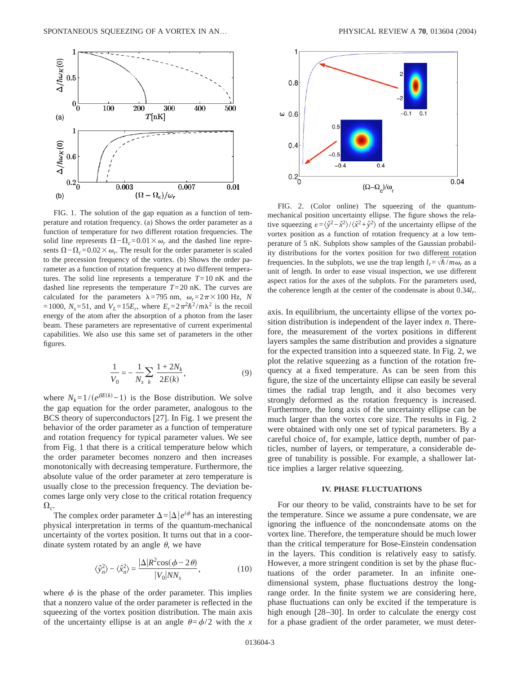

FIG. 1. The solution of the gap equation as a function of temperature and rotation frequency. (a) Shows the order parameter as a function of temperature for two different rotation frequencies. The solid line represents  $Ω - Ω<sub>c</sub> = 0.01 × ω<sub>r</sub>$  and the dashed line represents  $Ω - Ω<sub>c</sub> = 0.02 × ω<sub>r</sub>$ . The result for the order parameter is scaled to the precession frequency of the vortex. (b) Shows the order parameter as a function of rotation frequency at two different temperatures. The solid line represents a temperature  $T=10$  nK and the dashed line represents the temperature  $T=20$  nK. The curves are calculated for the parameters  $\lambda = 795$  nm,  $\omega_r = 2\pi \times 100$  Hz, *N* =1000,  $N_s$ =51, and  $V_l$ =15 $E_r$ , where  $E_r = 2\pi^2\hbar^2/m\lambda^2$  is the recoil energy of the atom after the absorption of a photon from the laser beam. These parameters are representative of current experimental capabilities. We also use this same set of parameters in the other figures.

$$
\frac{1}{V_0} = -\frac{1}{N_s} \sum_k \frac{1 + 2N_k}{2E(k)},
$$
\n(9)

where  $N_k = 1/(e^{\beta E(k)} - 1)$  is the Bose distribution. We solve the gap equation for the order parameter, analogous to the BCS theory of superconductors [27]. In Fig. 1 we present the behavior of the order parameter as a function of temperature and rotation frequency for typical parameter values. We see from Fig. 1 that there is a critical temperature below which the order parameter becomes nonzero and then increases monotonically with decreasing temperature. Furthermore, the absolute value of the order parameter at zero temperature is usually close to the precession frequency. The deviation becomes large only very close to the critical rotation frequency  $\Omega_c$ .

The complex order parameter  $\Delta = |\Delta| e^{i\phi}$  has an interesting physical interpretation in terms of the quantum-mechanical uncertainty of the vortex position. It turns out that in a coordinate system rotated by an angle  $\theta$ , we have

$$
\langle \hat{y}_n^2 \rangle - \langle \hat{x}_n^2 \rangle = \frac{|\Delta| R^2 \cos(\phi - 2\theta)}{|V_0| NN_s}, \tag{10}
$$

where  $\phi$  is the phase of the order parameter. This implies that a nonzero value of the order parameter is reflected in the squeezing of the vortex position distribution. The main axis of the uncertainty ellipse is at an angle  $\theta = \phi/2$  with the *x* 



FIG. 2. (Color online) The squeezing of the quantummechanical position uncertainty ellipse. The figure shows the relative squeezing  $\varepsilon = \frac{\langle \hat{y}^2 - \hat{x}^2 \rangle}{\langle \hat{x}^2 + \hat{y}^2 \rangle}$  of the uncertainty ellipse of the vortex position as a function of rotation frequency at a low temperature of 5 nK. Subplots show samples of the Gaussian probability distributions for the vortex position for two different rotation frequencies. In the subplots, we use the trap length  $l_r = \sqrt{\hbar/m\omega_r}$  as a unit of length. In order to ease visual inspection, we use different aspect ratios for the axes of the subplots. For the parameters used, the coherence length at the center of the condensate is about 0.34*lr*.

axis. In equilibrium, the uncertainty ellipse of the vortex position distribution is independent of the layer index *n*. Therefore, the measurement of the vortex positions in different layers samples the same distribution and provides a signature for the expected transition into a squeezed state. In Fig. 2, we plot the relative squeezing as a function of the rotation frequency at a fixed temperature. As can be seen from this figure, the size of the uncertainty ellipse can easily be several times the radial trap length, and it also becomes very strongly deformed as the rotation frequency is increased. Furthermore, the long axis of the uncertainty ellipse can be much larger than the vortex core size. The results in Fig. 2 were obtained with only one set of typical parameters. By a careful choice of, for example, lattice depth, number of particles, number of layers, or temperature, a considerable degree of tunability is possible. For example, a shallower lattice implies a larger relative squeezing.

#### **IV. PHASE FLUCTUATIONS**

For our theory to be valid, constraints have to be set for the temperature. Since we assume a pure condensate, we are ignoring the influence of the noncondensate atoms on the vortex line. Therefore, the temperature should be much lower than the critical temperature for Bose-Einstein condensation in the layers. This condition is relatively easy to satisfy. However, a more stringent condition is set by the phase fluctuations of the order parameter. In an infinite onedimensional system, phase fluctuations destroy the longrange order. In the finite system we are considering here, phase fluctuations can only be excited if the temperature is high enough [28–30]. In order to calculate the energy cost for a phase gradient of the order parameter, we must deter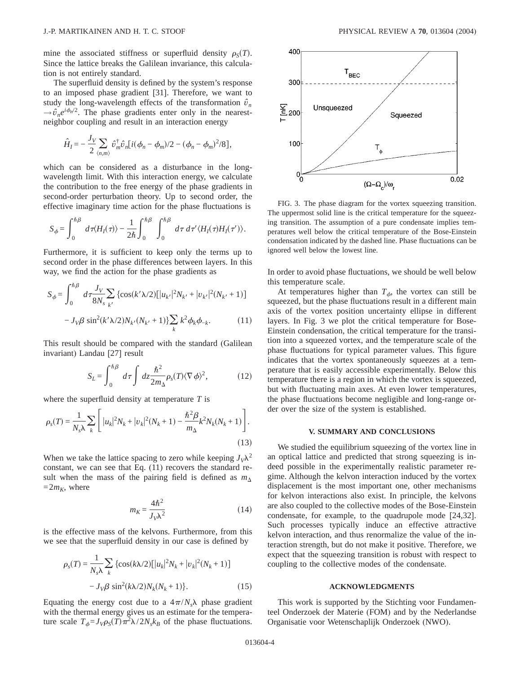mine the associated stiffness or superfluid density  $\rho_s(T)$ . Since the lattice breaks the Galilean invariance, this calculation is not entirely standard.

The superfluid density is defined by the system's response to an imposed phase gradient [31]. Therefore, we want to study the long-wavelength effects of the transformation  $\hat{v}_n$  $\rightarrow \hat{v}_n e^{i\phi_n/2}$ . The phase gradients enter only in the nearestneighbor coupling and result in an interaction energy

$$
\hat{H}_I = -\frac{J_V}{2} \sum_{\langle n,m \rangle} \hat{v}_m^{\dagger} \hat{v}_n [i(\phi_n - \phi_m)/2 - (\phi_n - \phi_m)^2/8],
$$

which can be considered as a disturbance in the longwavelength limit. With this interaction energy, we calculate the contribution to the free energy of the phase gradients in second-order perturbation theory. Up to second order, the effective imaginary time action for the phase fluctuations is

$$
S_{\phi} = \int_0^{\hbar \beta} d\tau \langle H_I(\tau) \rangle - \frac{1}{2 \hbar} \int_0^{\hbar \beta} \int_0^{\hbar \beta} d\tau \, d\tau' \langle H_I(\tau) H_I(\tau') \rangle.
$$

Furthermore, it is sufficient to keep only the terms up to second order in the phase differences between layers. In this way, we find the action for the phase gradients as

$$
S_{\phi} = \int_{0}^{\hbar \beta} d\tau \frac{J_{V}}{8N_{s}} \sum_{k'} \{ \cos(k'\lambda/2) [ |u_{k'}|^2 N_{k'} + |v_{k'}|^2 (N_{k'} + 1) ] - J_{V} \beta \sin^2(k'\lambda/2) N_{k'} (N_{k'} + 1) \} \sum_{k} k^2 \phi_{k} \phi_{-k}.
$$
 (11)

This result should be compared with the standard (Galilean invariant) Landau [27] result

$$
S_L = \int_0^{\hbar \beta} d\tau \int dz \frac{\hbar^2}{2m_\Delta} \rho_s(T) \langle \nabla \phi \rangle^2, \tag{12}
$$

where the superfluid density at temperature *T* is

$$
\rho_s(T) = \frac{1}{N_s \lambda} \sum_k \left[ |u_k|^2 N_k + |v_k|^2 (N_k + 1) - \frac{\hbar^2 \beta}{m_\Delta} k^2 N_k (N_k + 1) \right].
$$
\n(13)

When we take the lattice spacing to zero while keeping  $J_V\lambda^2$ constant, we can see that Eq. (11) recovers the standard result when the mass of the pairing field is defined as  $m_{\Delta}$  $=2m_K$ , where

$$
m_K = \frac{4\hbar^2}{J_V \lambda^2} \tag{14}
$$

is the effective mass of the kelvons. Furthermore, from this we see that the superfluid density in our case is defined by

$$
\rho_s(T) = \frac{1}{N_s \lambda} \sum_k \{ \cos(k\lambda/2) [ |u_k|^2 N_k + |v_k|^2 (N_k + 1) ] - J_V \beta \sin^2(k\lambda/2) N_k (N_k + 1) \}.
$$
\n(15)

Equating the energy cost due to a  $4\pi/N_s\lambda$  phase gradient with the thermal energy gives us an estimate for the temperature scale  $T_{\phi} = J_V \rho_S(T) \pi^2 \lambda / 2N_s k_B$  of the phase fluctuations.



FIG. 3. The phase diagram for the vortex squeezing transition. The uppermost solid line is the critical temperature for the squeezing transition. The assumption of a pure condensate implies temperatures well below the critical temperature of the Bose-Einstein condensation indicated by the dashed line. Phase fluctuations can be ignored well below the lowest line.

In order to avoid phase fluctuations, we should be well below this temperature scale.

At temperatures higher than  $T_{\phi}$ , the vortex can still be squeezed, but the phase fluctuations result in a different main axis of the vortex position uncertainty ellipse in different layers. In Fig. 3 we plot the critical temperature for Bose-Einstein condensation, the critical temperature for the transition into a squeezed vortex, and the temperature scale of the phase fluctuations for typical parameter values. This figure indicates that the vortex spontaneously squeezes at a temperature that is easily accessible experimentally. Below this temperature there is a region in which the vortex is squeezed, but with fluctuating main axes. At even lower temperatures, the phase fluctuations become negligible and long-range order over the size of the system is established.

### **V. SUMMARY AND CONCLUSIONS**

We studied the equilibrium squeezing of the vortex line in an optical lattice and predicted that strong squeezing is indeed possible in the experimentally realistic parameter regime. Although the kelvon interaction induced by the vortex displacement is the most important one, other mechanisms for kelvon interactions also exist. In principle, the kelvons are also coupled to the collective modes of the Bose-Einstein condensate, for example, to the quadrupole mode [24,32]. Such processes typically induce an effective attractive kelvon interaction, and thus renormalize the value of the interaction strength, but do not make it positive. Therefore, we expect that the squeezing transition is robust with respect to coupling to the collective modes of the condensate.

#### **ACKNOWLEDGMENTS**

This work is supported by the Stichting voor Fundamenteel Onderzoek der Materie (FOM) and by the Nederlandse Organisatie voor Wetenschaplijk Onderzoek (NWO).